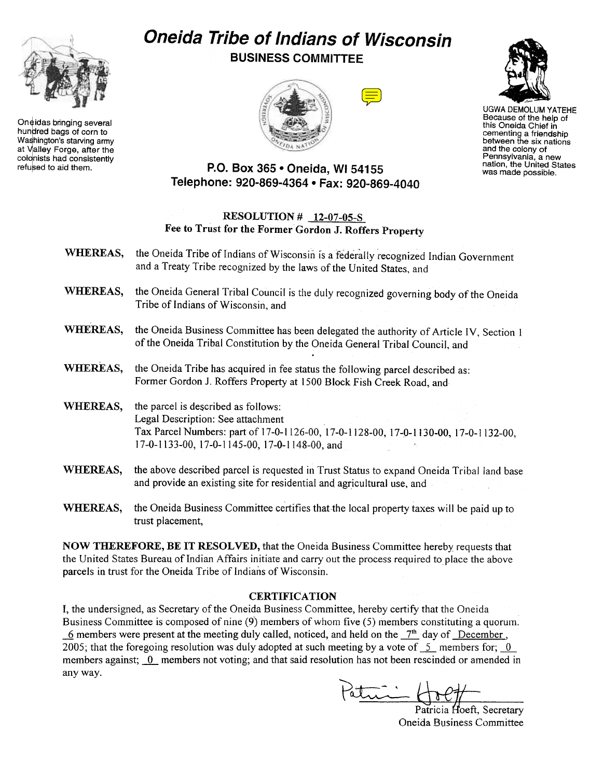

Oneidas bringing several<br>hundred bags of corn to Washington's starving army at Valley Forge, after the colonists had consistently

## Oneida Tribe of Indians of Wisconsin BUSINESS COMMITTEE







UGWA DEMOLUM YATEHE Because of the help of this Oneida Chief in cementing a friendship between the six nations and the colony of Pennsylvania, a new nation, the United States was made possible.

## refused to aid them.  $P.O. Box 365 • Oneida, WI 54155$ Telephone: 920-869-4364 · Fax: 920-869-4040

## RESOLUTION # 12-07-05-S Fee to Trust for the Former Gordon J. Roffers Property

- WHEREAS, the Oneida Tribe of Indians of Wisconsin is a federally recognized Indian Government and a Treaty Tribe recognized by the laws of the United States, and
- WHEREAS, the Oneida General Tribal Council is the duly recognized governing body of the Oneida Tribe of Indians of Wisconsin, and
- WHEREAS, the Oneida Business Committee has been delegated the authority of Article IV, Section 1 of the Oneida Tribal Constitution by the Oneida General Tribal Council, and
- WHEREAS, the Oneida Tribe has acquired in fee status the following parcel described as: Former Gordon J. Roffers Property at 1500 Block Fish Creek Road, and
- WHEREAS, the parcel is described as follows: Legal Description: See attachment Tax Parcel Numbers: part of 17-0-1126-00, 17-0-1128-00, 17-0-1130-00, 17-0-1132-00, 17-0-1133-00,17-0-1145-00,17-0-1148-00, and
- WHEREAS, the above described parcel is requested in Trust Status to expand Oneida Tribal land base and provide an existing site for residential and agricultural use, and
- WHEREAS, the Oneida Business Committee certifies that the local property taxes will be paid up to trust placement,

NOW THEREFORE, BE IT RESOLVED, that the Oneida Business Committee hereby requests that the United States Bureau of Indian Affairs initiate and carry out the process required to place the above parcels in trust for the Oneida Tribe of Indians of Wisconsin.

## **CERTIFICATION**

I, the undersigned, as Secretary of the Oneida Business Committee, hereby certify that the Oneida Business Committee is composed of nine (9) members of whom five (5) members constituting a quorum. 6 members were present at the meeting duly called, noticed, and held on the  $7<sup>th</sup>$  day of December, 2005; that the foregoing resolution was duly adopted at such meeting by a vote of  $-5$  members for;  $-0$ members against; 0 members not voting; and that said resolution has not been rescinded or amended in any way.

 $P_{\text{at}}$  :  $H_{\text{tot}}$ 

Patricia Hoeft, Secretary Oneida Business Committee